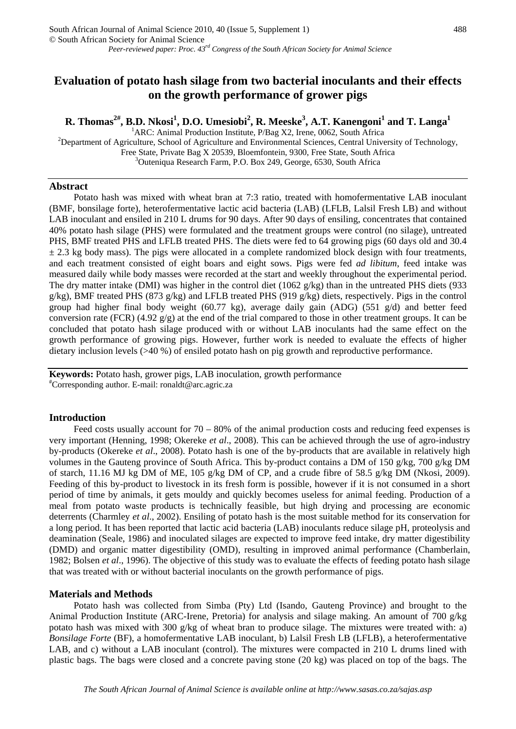# **Evaluation of potato hash silage from two bacterial inoculants and their effects on the growth performance of grower pigs**

 ${\bf R}.$  Thomas $^{2\#},$   ${\bf B}.{\bf D}.$  Nkosi $^1,$   ${\bf D}.{\bf O}.$  Umesiobi $^2,$   ${\bf R}.$  Meeske $^3,$   ${\bf A}.{\bf T}.$  Kanengoni $^1$  and  ${\bf T}.$  Langa $^1$ 

<sup>1</sup>ARC: Animal Production Institute, P/Bag X2, Irene, 0062, South Africa<br><sup>2</sup>Department of Agriculture, Sebool of Agriculture and Environmental Sciences, Control Unive

<sup>2</sup>Department of Agriculture, School of Agriculture and Environmental Sciences, Central University of Technology, Free State, Private Bag X 20539, Bloemfontein, 9300, Free State, South Africa 3 <sup>3</sup>Outeniqua Research Farm, P.O. Box 249, George, 6530, South Africa

# **Abstract**

Potato hash was mixed with wheat bran at 7:3 ratio, treated with homofermentative LAB inoculant (BMF, bonsilage forte), heterofermentative lactic acid bacteria (LAB) (LFLB, Lalsil Fresh LB) and without LAB inoculant and ensiled in 210 L drums for 90 days. After 90 days of ensiling, concentrates that contained 40% potato hash silage (PHS) were formulated and the treatment groups were control (no silage), untreated PHS, BMF treated PHS and LFLB treated PHS. The diets were fed to 64 growing pigs (60 days old and 30.4  $\pm$  2.3 kg body mass). The pigs were allocated in a complete randomized block design with four treatments, and each treatment consisted of eight boars and eight sows. Pigs were fed *ad libitum*, feed intake was measured daily while body masses were recorded at the start and weekly throughout the experimental period. The dry matter intake (DMI) was higher in the control diet (1062 g/kg) than in the untreated PHS diets (933  $g/kg$ ), BMF treated PHS (873 g/kg) and LFLB treated PHS (919 g/kg) diets, respectively. Pigs in the control group had higher final body weight (60.77 kg), average daily gain (ADG) (551 g/d) and better feed conversion rate (FCR) (4.92  $g/g$ ) at the end of the trial compared to those in other treatment groups. It can be concluded that potato hash silage produced with or without LAB inoculants had the same effect on the growth performance of growing pigs. However, further work is needed to evaluate the effects of higher dietary inclusion levels (>40 %) of ensiled potato hash on pig growth and reproductive performance.

**Keywords:** Potato hash, grower pigs, LAB inoculation, growth performance # Corresponding author. E-mail: [ronaldt@arc.agric.za](mailto:ronaldt@arc.agric.za) 

#### **Introduction**

Feed costs usually account for  $70 - 80\%$  of the animal production costs and reducing feed expenses is very important (Henning, 1998; Okereke *et al*., 2008). This can be achieved through the use of agro-industry by-products (Okereke *et al*., 2008). Potato hash is one of the by-products that are available in relatively high volumes in the Gauteng province of South Africa. This by-product contains a DM of 150 g/kg, 700 g/kg DM of starch, 11.16 MJ kg DM of ME, 105 g/kg DM of CP, and a crude fibre of 58.5 g/kg DM (Nkosi, 2009). Feeding of this by-product to livestock in its fresh form is possible, however if it is not consumed in a short period of time by animals, it gets mouldy and quickly becomes useless for animal feeding. Production of a meal from potato waste products is technically feasible, but high drying and processing are economic deterrents (Charmley *et al*., 2002). Ensiling of potato hash is the most suitable method for its conservation for a long period. It has been reported that lactic acid bacteria (LAB) inoculants reduce silage pH, proteolysis and deamination (Seale, 1986) and inoculated silages are expected to improve feed intake, dry matter digestibility (DMD) and organic matter digestibility (OMD), resulting in improved animal performance (Chamberlain, 1982; Bolsen *et al*., 1996). The objective of this study was to evaluate the effects of feeding potato hash silage that was treated with or without bacterial inoculants on the growth performance of pigs.

# **Materials and Methods**

Potato hash was collected from Simba (Pty) Ltd (Isando, Gauteng Province) and brought to the Animal Production Institute (ARC-Irene, Pretoria) for analysis and silage making. An amount of 700 g/kg potato hash was mixed with 300 g/kg of wheat bran to produce silage. The mixtures were treated with: a) *Bonsilage Forte* (BF), a homofermentative LAB inoculant, b) Lalsil Fresh LB (LFLB), a heterofermentative LAB, and c) without a LAB inoculant (control). The mixtures were compacted in 210 L drums lined with plastic bags. The bags were closed and a concrete paving stone (20 kg) was placed on top of the bags. The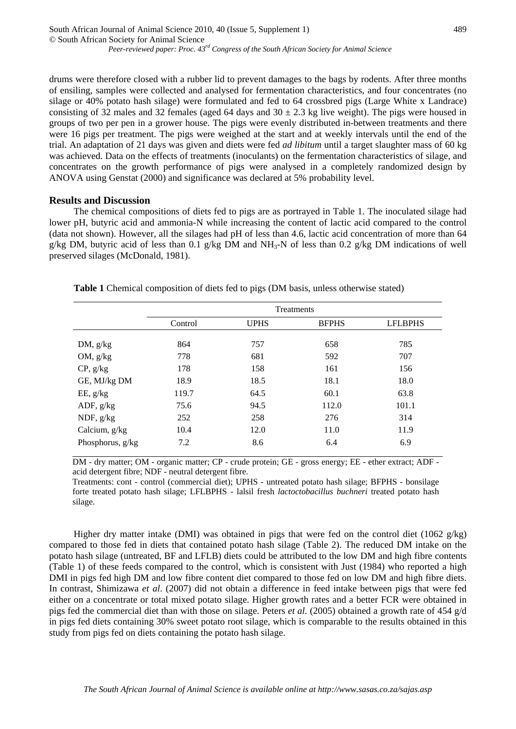drums were therefore closed with a rubber lid to prevent damages to the bags by rodents. After three months of ensiling, samples were collected and analysed for fermentation characteristics, and four concentrates (no silage or 40% potato hash silage) were formulated and fed to 64 crossbred pigs (Large White x Landrace) consisting of 32 males and 32 females (aged 64 days and  $30 \pm 2.3$  kg live weight). The pigs were housed in groups of two per pen in a grower house. The pigs were evenly distributed in-between treatments and there were 16 pigs per treatment. The pigs were weighed at the start and at weekly intervals until the end of the trial. An adaptation of 21 days was given and diets were fed *ad libitum* until a target slaughter mass of 60 kg was achieved. Data on the effects of treatments (inoculants) on the fermentation characteristics of silage, and concentrates on the growth performance of pigs were analysed in a completely randomized design by ANOVA using Genstat (2000) and significance was declared at 5% probability level.

### **Results and Discussion**

The chemical compositions of diets fed to pigs are as portrayed in Table 1. The inoculated silage had lower pH, butyric acid and ammonia-N while increasing the content of lactic acid compared to the control (data not shown). However, all the silages had pH of less than 4.6, lactic acid concentration of more than 64 g/kg DM, butyric acid of less than 0.1 g/kg DM and NH<sub>3</sub>-N of less than 0.2 g/kg DM indications of well preserved silages (McDonald, 1981).

|                  | <b>Treatments</b> |             |              |                |  |  |
|------------------|-------------------|-------------|--------------|----------------|--|--|
|                  | Control           | <b>UPHS</b> | <b>BFPHS</b> | <b>LFLBPHS</b> |  |  |
|                  |                   |             |              |                |  |  |
| DM, $g/kg$       | 864               | 757         | 658          | 785            |  |  |
| OM, $g/kg$       | 778               | 681         | 592          | 707            |  |  |
| $CP$ , $g/kg$    | 178               | 158         | 161          | 156            |  |  |
| GE, MJ/kg DM     | 18.9              | 18.5        | 18.1         | 18.0           |  |  |
| EE, g/kg         | 119.7             | 64.5        | 60.1         | 63.8           |  |  |
| ADF, $g/kg$      | 75.6              | 94.5        | 112.0        | 101.1          |  |  |
| NDF, $g/kg$      | 252               | 258         | 276          | 314            |  |  |
| Calcium, g/kg    | 10.4              | 12.0        | 11.0         | 11.9           |  |  |
| Phosphorus, g/kg | 7.2               | 8.6         | 6.4          | 6.9            |  |  |

**Table 1** Chemical composition of diets fed to pigs (DM basis, unless otherwise stated)

DM - dry matter; OM - organic matter; CP - crude protein; GE - gross energy; EE - ether extract; ADF acid detergent fibre; NDF - neutral detergent fibre.

Treatments: cont - control (commercial diet); UPHS - untreated potato hash silage; BFPHS - bonsilage forte treated potato hash silage; LFLBPHS - lalsil fresh *lactoctobacillus buchneri* treated potato hash silage.

Higher dry matter intake (DMI) was obtained in pigs that were fed on the control diet (1062  $g/kg$ ) compared to those fed in diets that contained potato hash silage (Table 2). The reduced DM intake on the potato hash silage (untreated, BF and LFLB) diets could be attributed to the low DM and high fibre contents (Table 1) of these feeds compared to the control, which is consistent with Just (1984) who reported a high DMI in pigs fed high DM and low fibre content diet compared to those fed on low DM and high fibre diets. In contrast, Shimizawa *et al*. (2007) did not obtain a difference in feed intake between pigs that were fed either on a concentrate or total mixed potato silage. Higher growth rates and a better FCR were obtained in pigs fed the commercial diet than with those on silage. Peters *et al.* (2005) obtained a growth rate of 454 g/d in pigs fed diets containing 30% sweet potato root silage, which is comparable to the results obtained in this study from pigs fed on diets containing the potato hash silage.